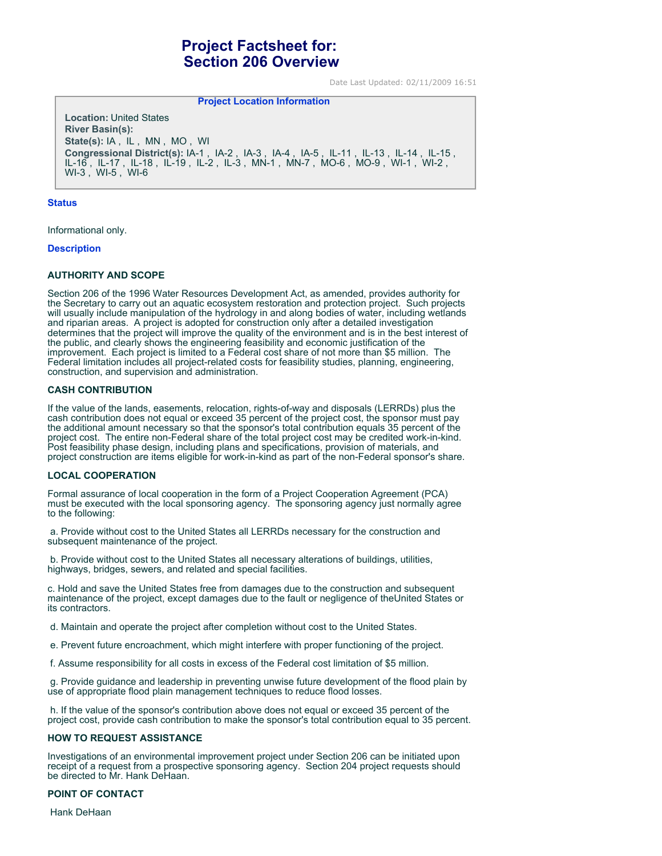# **Project Factsheet for: Section 206 Overview**

**Project Location Information** 

Date Last Updated: 02/11/2009 16:51

**Location:** United States **River Basin(s): State(s):** IA , IL , MN , MO , WI **Congressional District(s):** IA-1 , IA-2 , IA-3 , IA-4 , IA-5 , IL-11 , IL-13 , IL-14 , IL-15 , IL-16 , IL-17 , IL-18 , IL-19 , IL-2 , IL-3 , MN-1 , MN-7 , MO-6 , MO-9 , WI-1 , WI-2 , WI-3 , WI-5 , WI-6

#### **Status**

Informational only.

#### **Description**

#### **AUTHORITY AND SCOPE**

Section 206 of the 1996 Water Resources Development Act, as amended, provides authority for the Secretary to carry out an aquatic ecosystem restoration and protection project. Such projects will usually include manipulation of the hydrology in and along bodies of water, including wetlands and riparian areas. A project is adopted for construction only after a detailed investigation determines that the project will improve the quality of the environment and is in the best interest of the public, and clearly shows the engineering feasibility and economic justification of the improvement. Each project is limited to a Federal cost share of not more than \$5 million. The Federal limitation includes all project-related costs for feasibility studies, planning, engineering, construction, and supervision and administration.

#### **CASH CONTRIBUTION**

If the value of the lands, easements, relocation, rights-of-way and disposals (LERRDs) plus the cash contribution does not equal or exceed 35 percent of the project cost, the sponsor must pay the additional amount necessary so that the sponsor's total contribution equals 35 percent of the project cost. The entire non-Federal share of the total project cost may be credited work-in-kind. Post feasibility phase design, including plans and specifications, provision of materials, and project construction are items eligible for work-in-kind as part of the non-Federal sponsor's share.

#### **LOCAL COOPERATION**

Formal assurance of local cooperation in the form of a Project Cooperation Agreement (PCA) must be executed with the local sponsoring agency. The sponsoring agency just normally agree to the following:

 a. Provide without cost to the United States all LERRDs necessary for the construction and subsequent maintenance of the project.

 b. Provide without cost to the United States all necessary alterations of buildings, utilities, highways, bridges, sewers, and related and special facilities.

c. Hold and save the United States free from damages due to the construction and subsequent maintenance of the project, except damages due to the fault or negligence of theUnited States or its contractors.

d. Maintain and operate the project after completion without cost to the United States.

e. Prevent future encroachment, which might interfere with proper functioning of the project.

f. Assume responsibility for all costs in excess of the Federal cost limitation of \$5 million.

 g. Provide guidance and leadership in preventing unwise future development of the flood plain by use of appropriate flood plain management techniques to reduce flood losses.

 h. If the value of the sponsor's contribution above does not equal or exceed 35 percent of the project cost, provide cash contribution to make the sponsor's total contribution equal to 35 percent.

#### **HOW TO REQUEST ASSISTANCE**

Investigations of an environmental improvement project under Section 206 can be initiated upon receipt of a request from a prospective sponsoring agency. Section 204 project requests should be directed to Mr. Hank DeHaan.

## **POINT OF CONTACT**

Hank DeHaan